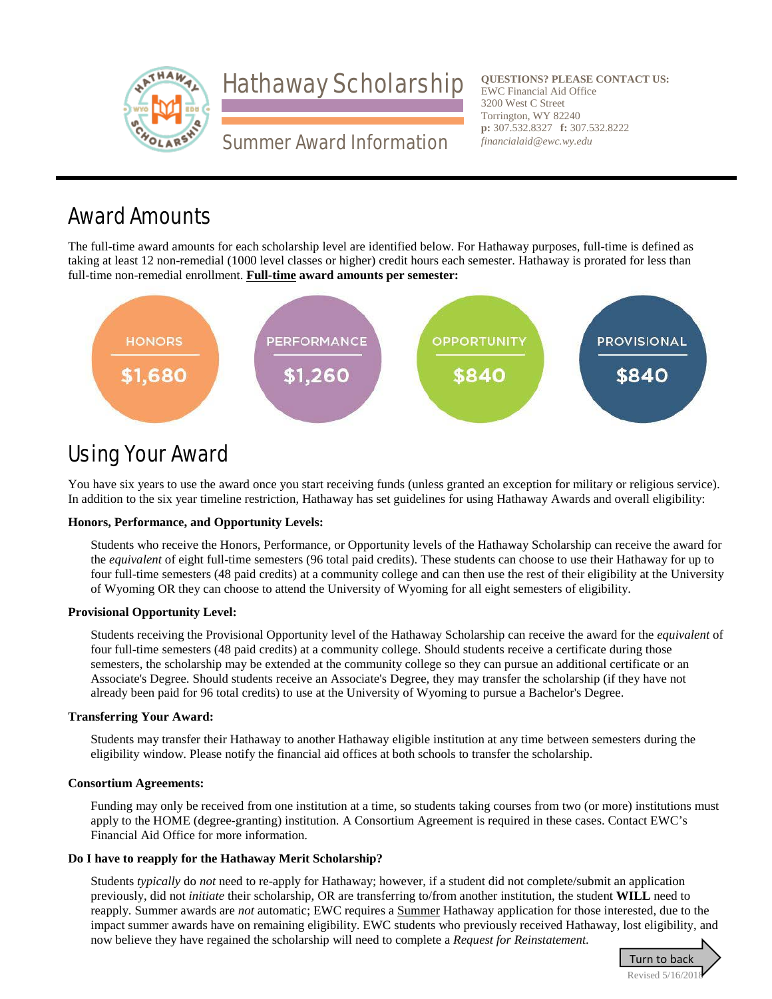

**QUESTIONS? PLEASE CONTACT US: QUESTIONS? PLEASE CONTACT US:**EWC Financial Aid Office EWC Financial Aid Office 3200 West C Street Torrington, WY 82240 3200 West C StreetTorrington, WY 82240**p:** 307.532.8327 **f:** 307.532.8222 *financialaid@ewc.wy.edu*

## Award Amounts

The full-time award amounts for each scholarship level are identified below. For Hathaway purposes, full-time is defined as taking at least 12 non-remedial (1000 level classes or higher) credit hours each semester. Hathaway is prorated for less than full-time non-remedial enrollment. **Full-time award amounts per semester:**



## Using Your Award

You have six years to use the award once you start receiving funds (unless granted an exception for military or religious service). In addition to the six year timeline restriction, Hathaway has set guidelines for using Hathaway Awards and overall eligibility:

### **Honors, Performance, and Opportunity Levels:**

Students who receive the Honors, Performance, or Opportunity levels of the Hathaway Scholarship can receive the award for the *equivalent* of eight full-time semesters (96 total paid credits). These students can choose to use their Hathaway for up to four full-time semesters (48 paid credits) at a community college and can then use the rest of their eligibility at the University of Wyoming OR they can choose to attend the University of Wyoming for all eight semesters of eligibility.

### **Provisional Opportunity Level:**

Students receiving the Provisional Opportunity level of the Hathaway Scholarship can receive the award for the *equivalent* of four full-time semesters (48 paid credits) at a community college. Should students receive a certificate during those semesters, the scholarship may be extended at the community college so they can pursue an additional certificate or an Associate's Degree. Should students receive an Associate's Degree, they may transfer the scholarship (if they have not already been paid for 96 total credits) to use at the University of Wyoming to pursue a Bachelor's Degree.

### **Transferring Your Award:**

Students may transfer their Hathaway to another Hathaway eligible institution at any time between semesters during the eligibility window. Please notify the financial aid offices at both schools to transfer the scholarship.

### **Consortium Agreements:**

Funding may only be received from one institution at a time, so students taking courses from two (or more) institutions must apply to the HOME (degree-granting) institution. A Consortium Agreement is required in these cases. Contact EWC's Financial Aid Office for more information.

### **Do I have to reapply for the Hathaway Merit Scholarship?**

Students *typically* do *not* need to re-apply for Hathaway; however, if a student did not complete/submit an application previously, did not *initiate* their scholarship, OR are transferring to/from another institution, the student **WILL** need to reapply. Summer awards are *not* automatic; EWC requires a Summer Hathaway application for those interested, due to the impact summer awards have on remaining eligibility. EWC students who previously received Hathaway, lost eligibility, and now believe they have regained the scholarship will need to complete a *Request for Reinstatement*.